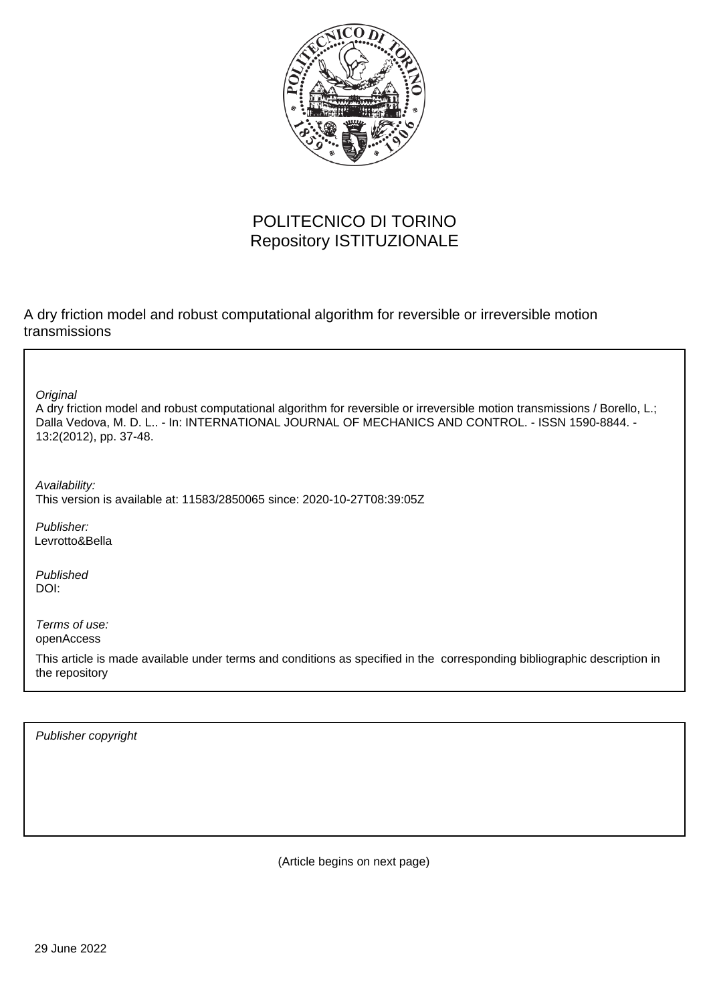

# POLITECNICO DI TORINO Repository ISTITUZIONALE

A dry friction model and robust computational algorithm for reversible or irreversible motion transmissions

**Original** 

A dry friction model and robust computational algorithm for reversible or irreversible motion transmissions / Borello, L.; Dalla Vedova, M. D. L.. - In: INTERNATIONAL JOURNAL OF MECHANICS AND CONTROL. - ISSN 1590-8844. -13:2(2012), pp. 37-48.

Availability: This version is available at: 11583/2850065 since: 2020-10-27T08:39:05Z

Publisher: Levrotto&Bella

Published DOI:

Terms of use: openAccess

This article is made available under terms and conditions as specified in the corresponding bibliographic description in the repository

Publisher copyright

(Article begins on next page)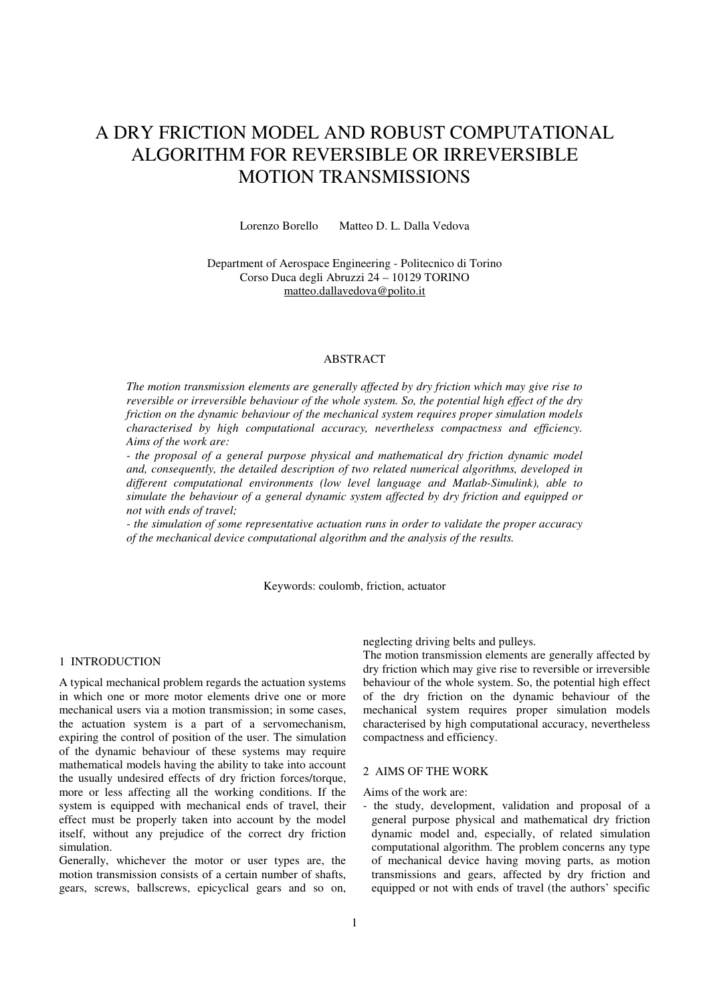# A DRY FRICTION MODEL AND ROBUST COMPUTATIONAL ALGORITHM FOR REVERSIBLE OR IRREVERSIBLE MOTION TRANSMISSIONS

Lorenzo Borello Matteo D. L. Dalla Vedova

Department of Aerospace Engineering - Politecnico di Torino Corso Duca degli Abruzzi 24 – 10129 TORINO matteo.dallavedova@polito.it

# ABSTRACT

*The motion transmission elements are generally affected by dry friction which may give rise to reversible or irreversible behaviour of the whole system. So, the potential high effect of the dry friction on the dynamic behaviour of the mechanical system requires proper simulation models characterised by high computational accuracy, nevertheless compactness and efficiency. Aims of the work are:* 

*- the proposal of a general purpose physical and mathematical dry friction dynamic model and, consequently, the detailed description of two related numerical algorithms, developed in different computational environments (low level language and Matlab-Simulink), able to simulate the behaviour of a general dynamic system affected by dry friction and equipped or not with ends of travel;* 

*- the simulation of some representative actuation runs in order to validate the proper accuracy of the mechanical device computational algorithm and the analysis of the results.* 

Keywords: coulomb, friction, actuator

## 1 INTRODUCTION

A typical mechanical problem regards the actuation systems in which one or more motor elements drive one or more mechanical users via a motion transmission; in some cases, the actuation system is a part of a servomechanism, expiring the control of position of the user. The simulation of the dynamic behaviour of these systems may require mathematical models having the ability to take into account the usually undesired effects of dry friction forces/torque, more or less affecting all the working conditions. If the system is equipped with mechanical ends of travel, their effect must be properly taken into account by the model itself, without any prejudice of the correct dry friction simulation.

Generally, whichever the motor or user types are, the motion transmission consists of a certain number of shafts, gears, screws, ballscrews, epicyclical gears and so on, neglecting driving belts and pulleys.

The motion transmission elements are generally affected by dry friction which may give rise to reversible or irreversible behaviour of the whole system. So, the potential high effect of the dry friction on the dynamic behaviour of the mechanical system requires proper simulation models characterised by high computational accuracy, nevertheless compactness and efficiency.

#### 2 AIMS OF THE WORK

Aims of the work are:

- the study, development, validation and proposal of a general purpose physical and mathematical dry friction dynamic model and, especially, of related simulation computational algorithm. The problem concerns any type of mechanical device having moving parts, as motion transmissions and gears, affected by dry friction and equipped or not with ends of travel (the authors' specific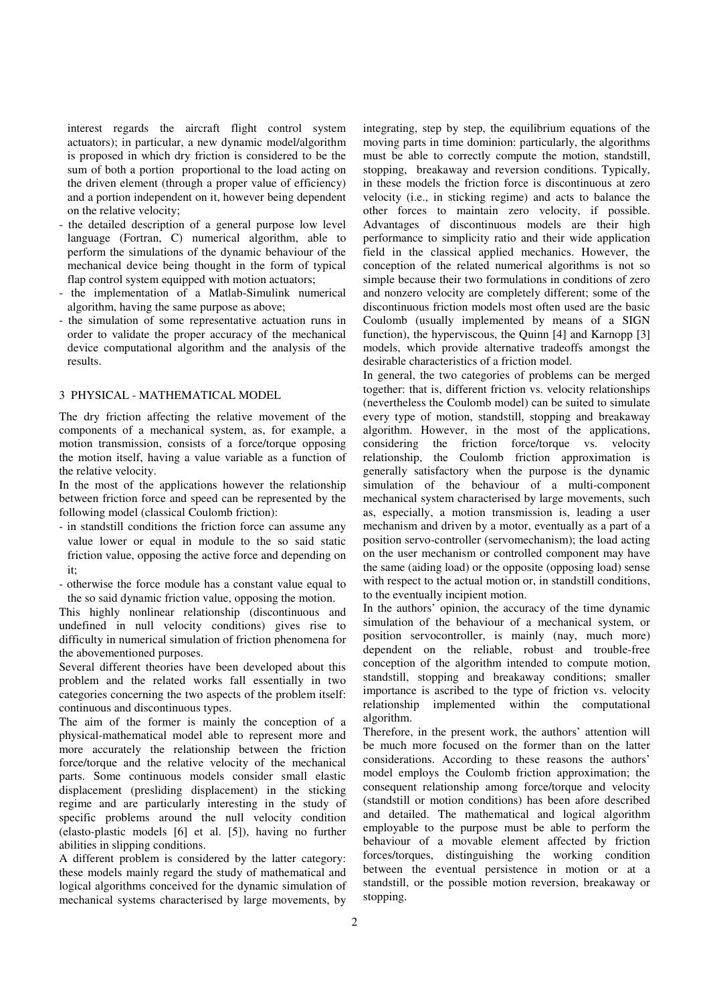interest regards the aircraft flight control system actuators); in particular, a new dynamic model/algorithm is proposed in which dry friction is considered to be the sum of both a portion proportional to the load acting on the driven element (through a proper value of efficiency) and a portion independent on it, however being dependent on the relative velocity;

- the detailed description of a general purpose low level language (Fortran, C) numerical algorithm, able to perform the simulations of the dynamic behaviour of the mechanical device being thought in the form of typical flap control system equipped with motion actuators;
- the implementation of a Matlab-Simulink numerical algorithm, having the same purpose as above;
- the simulation of some representative actuation runs in order to validate the proper accuracy of the mechanical device computational algorithm and the analysis of the results.

#### 3 PHYSICAL - MATHEMATICAL MODEL

The dry friction affecting the relative movement of the components of a mechanical system, as, for example, a motion transmission, consists of a force/torque opposing the motion itself, having a value variable as a function of the relative velocity.

In the most of the applications however the relationship between friction force and speed can be represented by the following model (classical Coulomb friction):

- in standstill conditions the friction force can assume any value lower or equal in module to the so said static friction value, opposing the active force and depending on it;
- otherwise the force module has a constant value equal to the so said dynamic friction value, opposing the motion.

This highly nonlinear relationship (discontinuous and undefined in null velocity conditions) gives rise to difficulty in numerical simulation of friction phenomena for the abovementioned purposes.

Several different theories have been developed about this problem and the related works fall essentially in two categories concerning the two aspects of the problem itself: continuous and discontinuous types.

The aim of the former is mainly the conception of a physical-mathematical model able to represent more and more accurately the relationship between the friction force/torque and the relative velocity of the mechanical parts. Some continuous models consider small elastic displacement (presliding displacement) in the sticking regime and are particularly interesting in the study of specific problems around the null velocity condition (elasto-plastic models [6] et al. [5]), having no further abilities in slipping conditions.

A different problem is considered by the latter category: these models mainly regard the study of mathematical and logical algorithms conceived for the dynamic simulation of mechanical systems characterised by large movements, by integrating, step by step, the equilibrium equations of the moving parts in time dominion: particularly, the algorithms must be able to correctly compute the motion, standstill, stopping, breakaway and reversion conditions. Typically, in these models the friction force is discontinuous at zero velocity (i.e., in sticking regime) and acts to balance the other forces to maintain zero velocity, if possible. Advantages of discontinuous models are their high performance to simplicity ratio and their wide application field in the classical applied mechanics. However, the conception of the related numerical algorithms is not so simple because their two formulations in conditions of zero and nonzero velocity are completely different; some of the discontinuous friction models most often used are the basic Coulomb (usually implemented by means of a SIGN function), the hyperviscous, the Quinn [4] and Karnopp [3] models, which provide alternative tradeoffs amongst the desirable characteristics of a friction model.

In general, the two categories of problems can be merged together: that is, different friction vs. velocity relationships (nevertheless the Coulomb model) can be suited to simulate every type of motion, standstill, stopping and breakaway algorithm. However, in the most of the applications, considering the friction force/torque vs. velocity relationship, the Coulomb friction approximation is generally satisfactory when the purpose is the dynamic simulation of the behaviour of a multi-component mechanical system characterised by large movements, such as, especially, a motion transmission is, leading a user mechanism and driven by a motor, eventually as a part of a position servo-controller (servomechanism); the load acting on the user mechanism or controlled component may have the same (aiding load) or the opposite (opposing load) sense with respect to the actual motion or, in standstill conditions, to the eventually incipient motion.

In the authors' opinion, the accuracy of the time dynamic simulation of the behaviour of a mechanical system, or position servocontroller, is mainly (nay, much more) dependent on the reliable, robust and trouble-free conception of the algorithm intended to compute motion, standstill, stopping and breakaway conditions; smaller importance is ascribed to the type of friction vs. velocity relationship implemented within the computational algorithm.

Therefore, in the present work, the authors' attention will be much more focused on the former than on the latter considerations. According to these reasons the authors' model employs the Coulomb friction approximation; the consequent relationship among force/torque and velocity (standstill or motion conditions) has been afore described and detailed. The mathematical and logical algorithm employable to the purpose must be able to perform the behaviour of a movable element affected by friction forces/torques, distinguishing the working condition between the eventual persistence in motion or at a standstill, or the possible motion reversion, breakaway or stopping.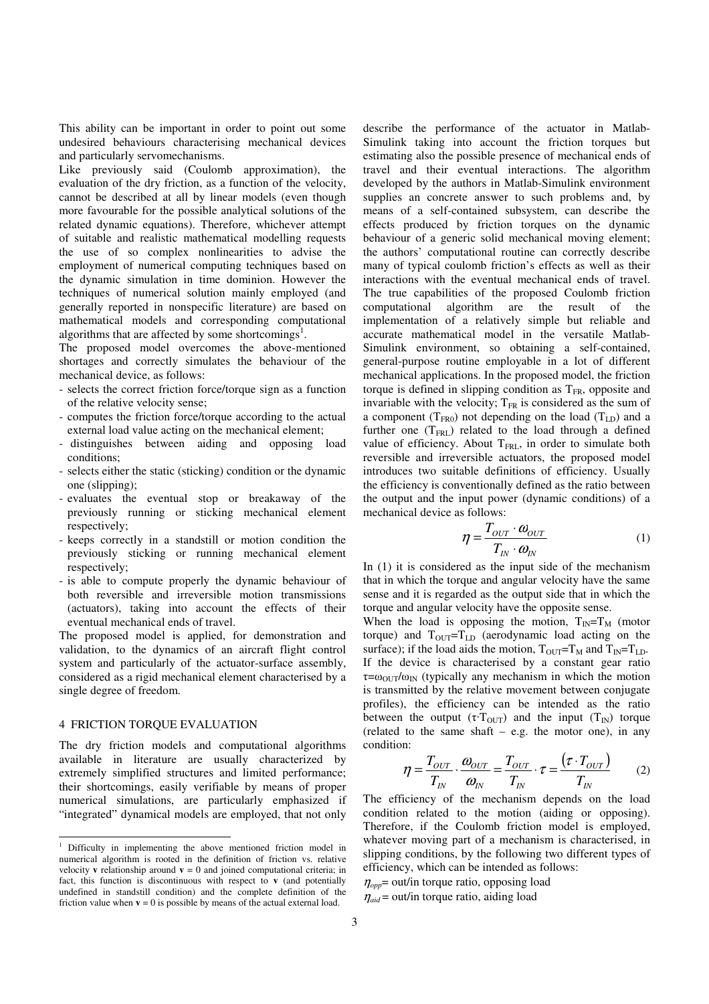This ability can be important in order to point out some undesired behaviours characterising mechanical devices and particularly servomechanisms.

Like previously said (Coulomb approximation), the evaluation of the dry friction, as a function of the velocity, cannot be described at all by linear models (even though more favourable for the possible analytical solutions of the related dynamic equations). Therefore, whichever attempt of suitable and realistic mathematical modelling requests the use of so complex nonlinearities to advise the employment of numerical computing techniques based on the dynamic simulation in time dominion. However the techniques of numerical solution mainly employed (and generally reported in nonspecific literature) are based on mathematical models and corresponding computational algorithms that are affected by some shortcomings<sup>1</sup>.

The proposed model overcomes the above-mentioned shortages and correctly simulates the behaviour of the mechanical device, as follows:

- selects the correct friction force/torque sign as a function of the relative velocity sense;
- computes the friction force/torque according to the actual external load value acting on the mechanical element;
- distinguishes between aiding and opposing load conditions;
- selects either the static (sticking) condition or the dynamic one (slipping);
- evaluates the eventual stop or breakaway of the previously running or sticking mechanical element respectively;
- keeps correctly in a standstill or motion condition the previously sticking or running mechanical element respectively;
- is able to compute properly the dynamic behaviour of both reversible and irreversible motion transmissions (actuators), taking into account the effects of their eventual mechanical ends of travel.

The proposed model is applied, for demonstration and validation, to the dynamics of an aircraft flight control system and particularly of the actuator-surface assembly, considered as a rigid mechanical element characterised by a single degree of freedom.

#### 4 FRICTION TORQUE EVALUATION

The dry friction models and computational algorithms available in literature are usually characterized by extremely simplified structures and limited performance; their shortcomings, easily verifiable by means of proper numerical simulations, are particularly emphasized if "integrated" dynamical models are employed, that not only describe the performance of the actuator in Matlab-Simulink taking into account the friction torques but estimating also the possible presence of mechanical ends of travel and their eventual interactions. The algorithm developed by the authors in Matlab-Simulink environment supplies an concrete answer to such problems and, by means of a self-contained subsystem, can describe the effects produced by friction torques on the dynamic behaviour of a generic solid mechanical moving element; the authors' computational routine can correctly describe many of typical coulomb friction's effects as well as their interactions with the eventual mechanical ends of travel. The true capabilities of the proposed Coulomb friction computational algorithm are the result of the implementation of a relatively simple but reliable and accurate mathematical model in the versatile Matlab-Simulink environment, so obtaining a self-contained, general-purpose routine employable in a lot of different mechanical applications. In the proposed model, the friction torque is defined in slipping condition as  $T_{FR}$ , opposite and invariable with the velocity;  $T_{FR}$  is considered as the sum of a component ( $T_{FR0}$ ) not depending on the load ( $T_{LD}$ ) and a further one  $(T_{FRL})$  related to the load through a defined value of efficiency. About  $T<sub>FRI</sub>$ , in order to simulate both reversible and irreversible actuators, the proposed model introduces two suitable definitions of efficiency. Usually the efficiency is conventionally defined as the ratio between the output and the input power (dynamic conditions) of a mechanical device as follows:

$$
\eta = \frac{T_{OUT} \cdot \omega_{OUT}}{T_{IN} \cdot \omega_{IN}}
$$
(1)

In (1) it is considered as the input side of the mechanism that in which the torque and angular velocity have the same sense and it is regarded as the output side that in which the torque and angular velocity have the opposite sense.

When the load is opposing the motion,  $T_{IN}=T_M$  (motor torque) and  $T_{\text{OUT}}=T_{\text{LD}}$  (aerodynamic load acting on the surface); if the load aids the motion,  $T_{\text{OUT}}=T_M$  and  $T_{\text{IN}}=T_{\text{LD}}$ . If the device is characterised by a constant gear ratio  $\tau = \omega_{\text{OUT}}/\omega_{\text{IN}}$  (typically any mechanism in which the motion is transmitted by the relative movement between conjugate profiles), the efficiency can be intended as the ratio between the output  $(\tau \tau_{\text{OUT}})$  and the input  $(T_{\text{IN}})$  torque (related to the same shaft  $-$  e.g. the motor one), in any condition:

$$
\eta = \frac{T_{OUT}}{T_{IN}} \cdot \frac{\omega_{OUT}}{\omega_{IN}} = \frac{T_{OUT}}{T_{IN}} \cdot \tau = \frac{(\tau \cdot T_{OUT})}{T_{IN}} \tag{2}
$$

The efficiency of the mechanism depends on the load condition related to the motion (aiding or opposing). Therefore, if the Coulomb friction model is employed, whatever moving part of a mechanism is characterised, in slipping conditions, by the following two different types of efficiency, which can be intended as follows:

 $\eta_{\text{opp}}$  out/in torque ratio, opposing load

 $\eta_{\text{aid}}$  = out/in torque ratio, aiding load

 1 Difficulty in implementing the above mentioned friction model in numerical algorithm is rooted in the definition of friction vs. relative velocity **v** relationship around  $\mathbf{v} = 0$  and joined computational criteria; in fact, this function is discontinuous with respect to **v** (and potentially undefined in standstill condition) and the complete definition of the friction value when  $\mathbf{v} = 0$  is possible by means of the actual external load.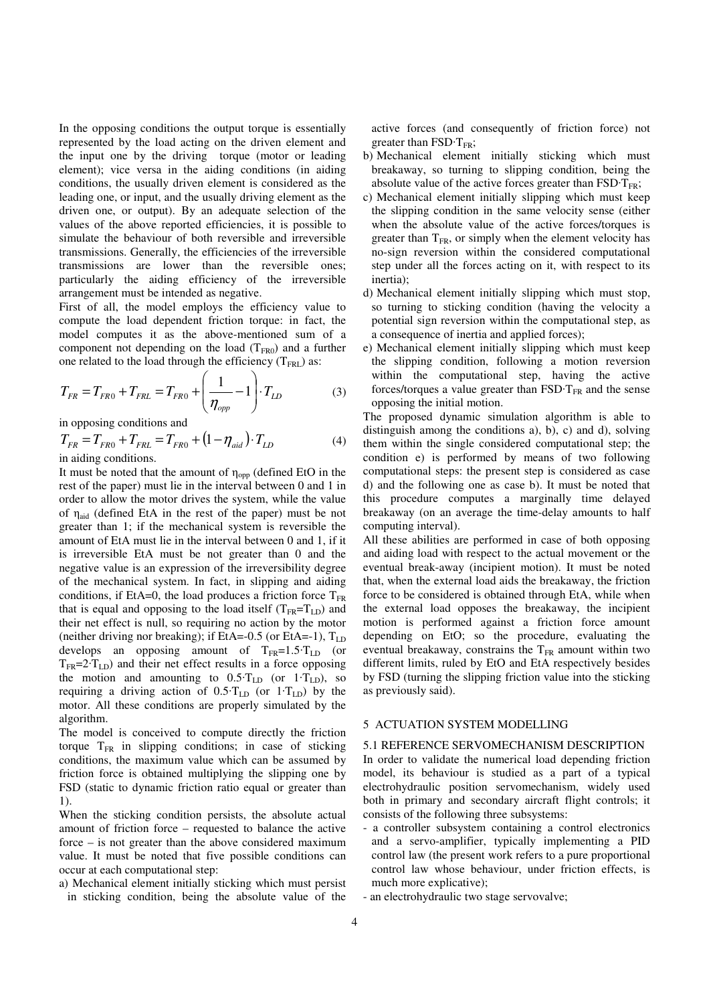In the opposing conditions the output torque is essentially represented by the load acting on the driven element and the input one by the driving torque (motor or leading element); vice versa in the aiding conditions (in aiding conditions, the usually driven element is considered as the leading one, or input, and the usually driving element as the driven one, or output). By an adequate selection of the values of the above reported efficiencies, it is possible to simulate the behaviour of both reversible and irreversible transmissions. Generally, the efficiencies of the irreversible transmissions are lower than the reversible ones; particularly the aiding efficiency of the irreversible arrangement must be intended as negative.

First of all, the model employs the efficiency value to compute the load dependent friction torque: in fact, the model computes it as the above-mentioned sum of a component not depending on the load  $(T_{FR0})$  and a further one related to the load through the efficiency  $(T_{FRL})$  as:

$$
T_{FR} = T_{FR0} + T_{FRL} = T_{FR0} + \left(\frac{1}{\eta_{opp}} - 1\right) \cdot T_{LD}
$$
 (3)

in opposing conditions and

$$
T_{FR} = T_{FR0} + T_{FRL} = T_{FR0} + (1 - \eta_{aid}) \cdot T_{LD}
$$
\nin aiding conditions (4)

in aiding conditions.

It must be noted that the amount of  $\eta_{opp}$  (defined EtO in the rest of the paper) must lie in the interval between 0 and 1 in order to allow the motor drives the system, while the value of  $\eta_{aid}$  (defined EtA in the rest of the paper) must be not greater than 1; if the mechanical system is reversible the amount of EtA must lie in the interval between 0 and 1, if it is irreversible EtA must be not greater than 0 and the negative value is an expression of the irreversibility degree of the mechanical system. In fact, in slipping and aiding conditions, if EtA=0, the load produces a friction force  $T_{FR}$ that is equal and opposing to the load itself  $(T_{FR}=T_{LD})$  and their net effect is null, so requiring no action by the motor (neither driving nor breaking); if EtA=-0.5 (or EtA=-1),  $T_{LD}$ develops an opposing amount of  $T_{FR} = 1.5 \cdot T_{LD}$  (or  $T_{FR}$ =2· $T_{LD}$ ) and their net effect results in a force opposing the motion and amounting to  $0.5 \text{·}T_{LD}$  (or  $1 \text{·}T_{LD}$ ), so requiring a driving action of  $0.5 \text{ T}_{LD}$  (or  $1 \text{ T}_{LD}$ ) by the motor. All these conditions are properly simulated by the algorithm.

The model is conceived to compute directly the friction torque  $T_{FR}$  in slipping conditions; in case of sticking conditions, the maximum value which can be assumed by friction force is obtained multiplying the slipping one by FSD (static to dynamic friction ratio equal or greater than 1).

When the sticking condition persists, the absolute actual amount of friction force – requested to balance the active force – is not greater than the above considered maximum value. It must be noted that five possible conditions can occur at each computational step:

a) Mechanical element initially sticking which must persist in sticking condition, being the absolute value of the

active forces (and consequently of friction force) not greater than  $\text{FSD-T}_{\text{FR}}$ ;

- b) Mechanical element initially sticking which must breakaway, so turning to slipping condition, being the absolute value of the active forces greater than  $\text{FSD-T}_{\text{FR}}$ ;
- c) Mechanical element initially slipping which must keep the slipping condition in the same velocity sense (either when the absolute value of the active forces/torques is greater than  $T_{FR}$ , or simply when the element velocity has no-sign reversion within the considered computational step under all the forces acting on it, with respect to its inertia);
- d) Mechanical element initially slipping which must stop, so turning to sticking condition (having the velocity a potential sign reversion within the computational step, as a consequence of inertia and applied forces);
- e) Mechanical element initially slipping which must keep the slipping condition, following a motion reversion within the computational step, having the active forces/torques a value greater than  $\text{FSD-T}_\text{FR}$  and the sense opposing the initial motion.

The proposed dynamic simulation algorithm is able to distinguish among the conditions a), b), c) and d), solving them within the single considered computational step; the condition e) is performed by means of two following computational steps: the present step is considered as case d) and the following one as case b). It must be noted that this procedure computes a marginally time delayed breakaway (on an average the time-delay amounts to half computing interval).

All these abilities are performed in case of both opposing and aiding load with respect to the actual movement or the eventual break-away (incipient motion). It must be noted that, when the external load aids the breakaway, the friction force to be considered is obtained through EtA, while when the external load opposes the breakaway, the incipient motion is performed against a friction force amount depending on EtO; so the procedure, evaluating the eventual breakaway, constrains the  $T_{FR}$  amount within two different limits, ruled by EtO and EtA respectively besides by FSD (turning the slipping friction value into the sticking as previously said).

#### 5 ACTUATION SYSTEM MODELLING

5.1 REFERENCE SERVOMECHANISM DESCRIPTION In order to validate the numerical load depending friction model, its behaviour is studied as a part of a typical electrohydraulic position servomechanism, widely used both in primary and secondary aircraft flight controls; it consists of the following three subsystems:

- a controller subsystem containing a control electronics and a servo-amplifier, typically implementing a PID control law (the present work refers to a pure proportional control law whose behaviour, under friction effects, is much more explicative);
- an electrohydraulic two stage servovalve;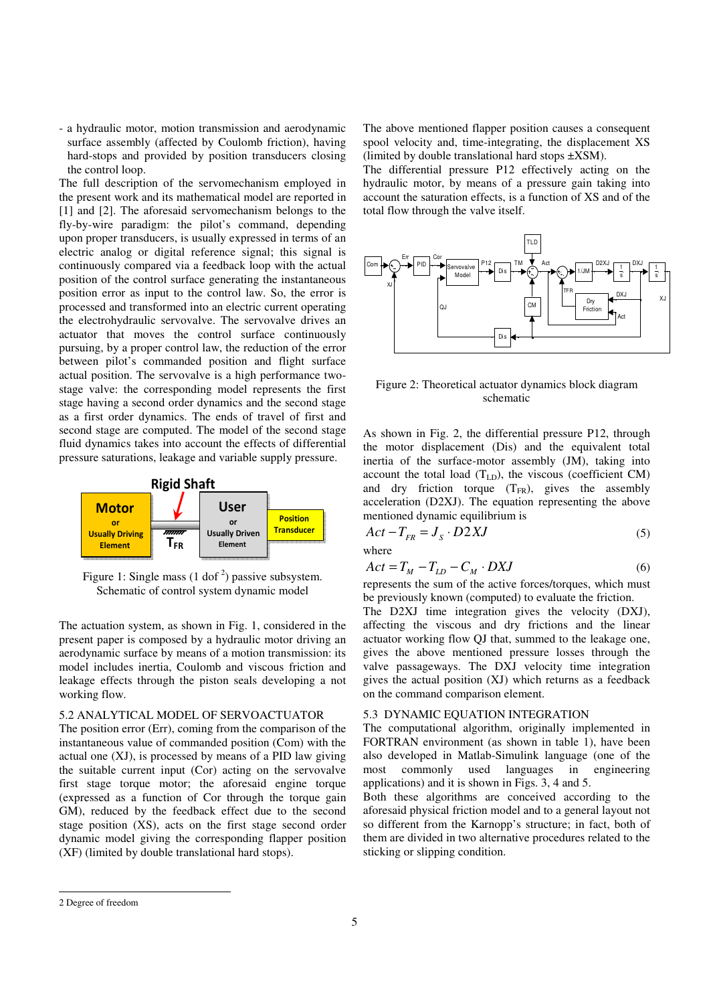- a hydraulic motor, motion transmission and aerodynamic surface assembly (affected by Coulomb friction), having hard-stops and provided by position transducers closing the control loop.

The full description of the servomechanism employed in the present work and its mathematical model are reported in [1] and [2]. The aforesaid servomechanism belongs to the fly-by-wire paradigm: the pilot's command, depending upon proper transducers, is usually expressed in terms of an electric analog or digital reference signal; this signal is continuously compared via a feedback loop with the actual position of the control surface generating the instantaneous position error as input to the control law. So, the error is processed and transformed into an electric current operating the electrohydraulic servovalve. The servovalve drives an actuator that moves the control surface continuously pursuing, by a proper control law, the reduction of the error between pilot's commanded position and flight surface actual position. The servovalve is a high performance twostage valve: the corresponding model represents the first stage having a second order dynamics and the second stage as a first order dynamics. The ends of travel of first and second stage are computed. The model of the second stage fluid dynamics takes into account the effects of differential pressure saturations, leakage and variable supply pressure.



Figure 1: Single mass  $(1 \text{ dof}^2)$  passive subsystem. Schematic of control system dynamic model

The actuation system, as shown in Fig. 1, considered in the present paper is composed by a hydraulic motor driving an aerodynamic surface by means of a motion transmission: its model includes inertia, Coulomb and viscous friction and leakage effects through the piston seals developing a not working flow.

#### 5.2 ANALYTICAL MODEL OF SERVOACTUATOR

The position error (Err), coming from the comparison of the instantaneous value of commanded position (Com) with the actual one (XJ), is processed by means of a PID law giving the suitable current input (Cor) acting on the servovalve first stage torque motor; the aforesaid engine torque (expressed as a function of Cor through the torque gain GM), reduced by the feedback effect due to the second stage position (XS), acts on the first stage second order dynamic model giving the corresponding flapper position (XF) (limited by double translational hard stops).

The above mentioned flapper position causes a consequent spool velocity and, time-integrating, the displacement XS (limited by double translational hard stops  $\pm$ XSM).

The differential pressure P12 effectively acting on the hydraulic motor, by means of a pressure gain taking into account the saturation effects, is a function of XS and of the total flow through the valve itself.



Figure 2: Theoretical actuator dynamics block diagram schematic

As shown in Fig. 2, the differential pressure P12, through the motor displacement (Dis) and the equivalent total inertia of the surface-motor assembly (JM), taking into account the total load  $(T<sub>LD</sub>)$ , the viscous (coefficient CM) and dry friction torque  $(T_{FR})$ , gives the assembly acceleration (D2XJ). The equation representing the above mentioned dynamic equilibrium is

$$
Act - T_{FR} = J_S \cdot D2XJ \tag{5}
$$

where

$$
Act = T_M - T_{LD} - C_M \cdot DXJ \tag{6}
$$

represents the sum of the active forces/torques, which must be previously known (computed) to evaluate the friction.

The D2XJ time integration gives the velocity (DXJ), affecting the viscous and dry frictions and the linear actuator working flow QJ that, summed to the leakage one, gives the above mentioned pressure losses through the valve passageways. The DXJ velocity time integration gives the actual position (XJ) which returns as a feedback on the command comparison element.

### 5.3 DYNAMIC EQUATION INTEGRATION

The computational algorithm, originally implemented in FORTRAN environment (as shown in table 1), have been also developed in Matlab-Simulink language (one of the most commonly used languages in engineering applications) and it is shown in Figs. 3, 4 and 5.

Both these algorithms are conceived according to the aforesaid physical friction model and to a general layout not so different from the Karnopp's structure; in fact, both of them are divided in two alternative procedures related to the sticking or slipping condition.

 $\overline{a}$ 

<sup>2</sup> Degree of freedom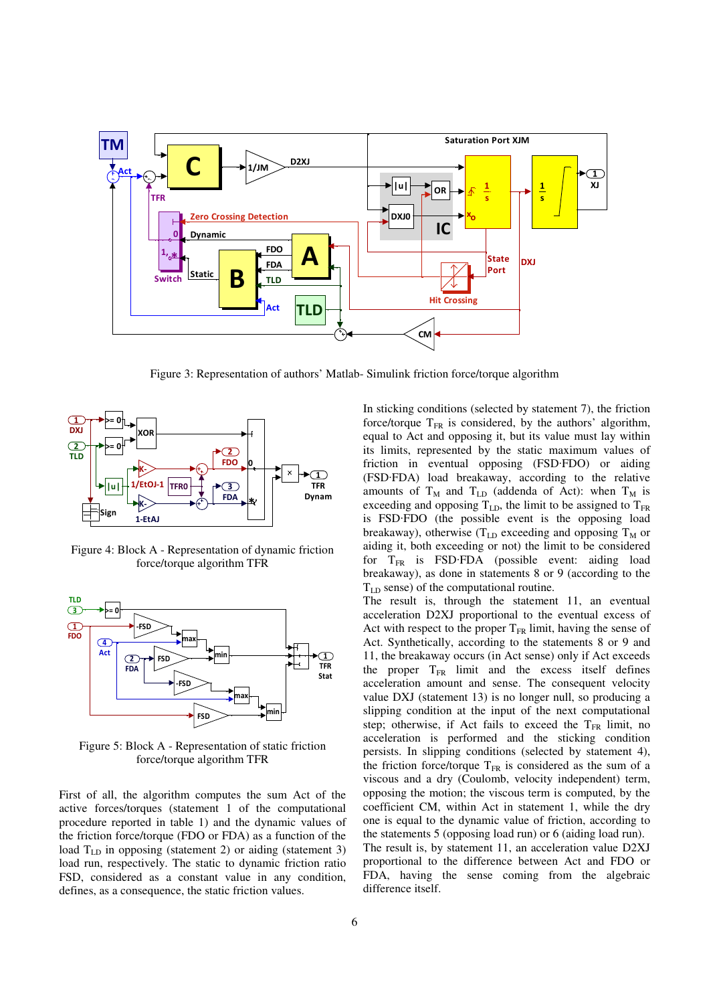

Figure 3: Representation of authors' Matlab- Simulink friction force/torque algorithm



Figure 4: Block A - Representation of dynamic friction force/torque algorithm TFR



Figure 5: Block A - Representation of static friction force/torque algorithm TFR

First of all, the algorithm computes the sum Act of the active forces/torques (statement 1 of the computational procedure reported in table 1) and the dynamic values of the friction force/torque (FDO or FDA) as a function of the load  $T_{LD}$  in opposing (statement 2) or aiding (statement 3) load run, respectively. The static to dynamic friction ratio FSD, considered as a constant value in any condition, defines, as a consequence, the static friction values.

In sticking conditions (selected by statement 7), the friction force/torque  $T_{FR}$  is considered, by the authors' algorithm, equal to Act and opposing it, but its value must lay within its limits, represented by the static maximum values of friction in eventual opposing (FSD·FDO) or aiding (FSD·FDA) load breakaway, according to the relative amounts of  $T_M$  and  $T_{LD}$  (addenda of Act): when  $T_M$  is exceeding and opposing  $T_{LD}$ , the limit to be assigned to  $T_{FR}$ is FSD·FDO (the possible event is the opposing load breakaway), otherwise ( $T_{LD}$  exceeding and opposing  $T_M$  or aiding it, both exceeding or not) the limit to be considered for  $T_{FR}$  is FSD·FDA (possible event: aiding load breakaway), as done in statements 8 or 9 (according to the TLD sense) of the computational routine.

The result is, through the statement 11, an eventual acceleration D2XJ proportional to the eventual excess of Act with respect to the proper  $T_{FR}$  limit, having the sense of Act. Synthetically, according to the statements 8 or 9 and 11, the breakaway occurs (in Act sense) only if Act exceeds the proper  $T_{FR}$  limit and the excess itself defines acceleration amount and sense. The consequent velocity value DXJ (statement 13) is no longer null, so producing a slipping condition at the input of the next computational step; otherwise, if Act fails to exceed the  $T_{FR}$  limit, no acceleration is performed and the sticking condition persists. In slipping conditions (selected by statement 4), the friction force/torque  $T_{FR}$  is considered as the sum of a viscous and a dry (Coulomb, velocity independent) term, opposing the motion; the viscous term is computed, by the coefficient CM, within Act in statement 1, while the dry one is equal to the dynamic value of friction, according to the statements 5 (opposing load run) or 6 (aiding load run). The result is, by statement 11, an acceleration value D2XJ proportional to the difference between Act and FDO or FDA, having the sense coming from the algebraic difference itself.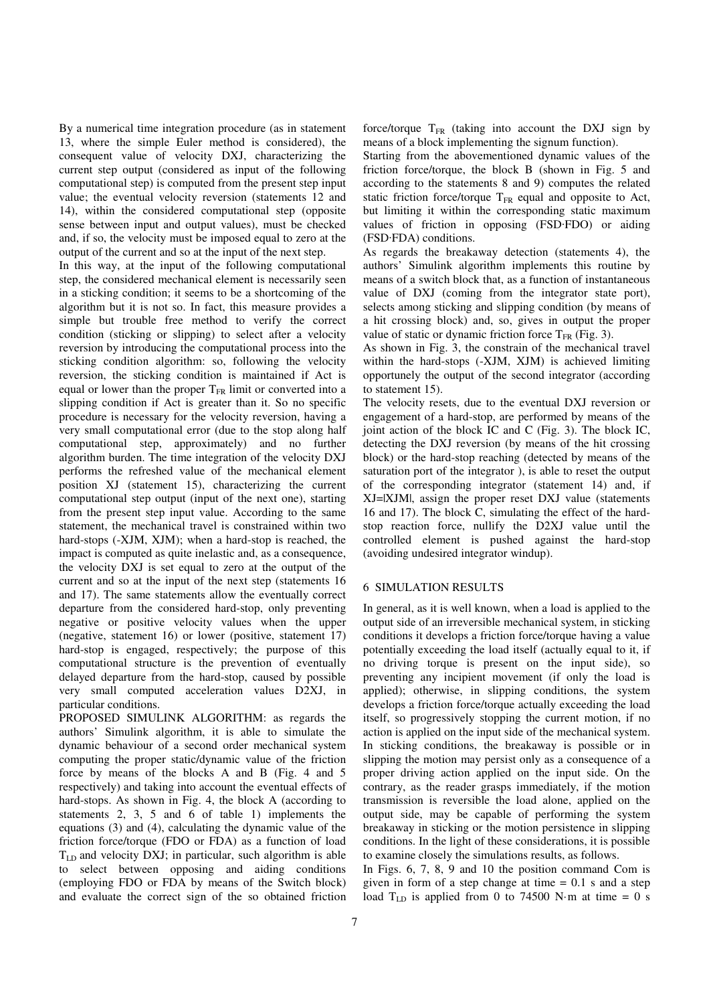By a numerical time integration procedure (as in statement 13, where the simple Euler method is considered), the consequent value of velocity DXJ, characterizing the current step output (considered as input of the following computational step) is computed from the present step input value; the eventual velocity reversion (statements 12 and 14), within the considered computational step (opposite sense between input and output values), must be checked and, if so, the velocity must be imposed equal to zero at the output of the current and so at the input of the next step.

In this way, at the input of the following computational step, the considered mechanical element is necessarily seen in a sticking condition; it seems to be a shortcoming of the algorithm but it is not so. In fact, this measure provides a simple but trouble free method to verify the correct condition (sticking or slipping) to select after a velocity reversion by introducing the computational process into the sticking condition algorithm: so, following the velocity reversion, the sticking condition is maintained if Act is equal or lower than the proper  $T_{FR}$  limit or converted into a slipping condition if Act is greater than it. So no specific procedure is necessary for the velocity reversion, having a very small computational error (due to the stop along half computational step, approximately) and no further algorithm burden. The time integration of the velocity DXJ performs the refreshed value of the mechanical element position XJ (statement 15), characterizing the current computational step output (input of the next one), starting from the present step input value. According to the same statement, the mechanical travel is constrained within two hard-stops (-XJM, XJM); when a hard-stop is reached, the impact is computed as quite inelastic and, as a consequence, the velocity DXJ is set equal to zero at the output of the current and so at the input of the next step (statements 16 and 17). The same statements allow the eventually correct departure from the considered hard-stop, only preventing negative or positive velocity values when the upper (negative, statement 16) or lower (positive, statement 17) hard-stop is engaged, respectively; the purpose of this computational structure is the prevention of eventually delayed departure from the hard-stop, caused by possible very small computed acceleration values D2XJ, in particular conditions.

PROPOSED SIMULINK ALGORITHM: as regards the authors' Simulink algorithm, it is able to simulate the dynamic behaviour of a second order mechanical system computing the proper static/dynamic value of the friction force by means of the blocks A and B (Fig. 4 and 5 respectively) and taking into account the eventual effects of hard-stops. As shown in Fig. 4, the block A (according to statements 2, 3, 5 and 6 of table 1) implements the equations (3) and (4), calculating the dynamic value of the friction force/torque (FDO or FDA) as a function of load  $T_{LD}$  and velocity DXJ; in particular, such algorithm is able to select between opposing and aiding conditions (employing FDO or FDA by means of the Switch block) and evaluate the correct sign of the so obtained friction

force/torque  $T_{FR}$  (taking into account the DXJ sign by means of a block implementing the signum function).

Starting from the abovementioned dynamic values of the friction force/torque, the block B (shown in Fig. 5 and according to the statements 8 and 9) computes the related static friction force/torque  $T_{FR}$  equal and opposite to Act, but limiting it within the corresponding static maximum values of friction in opposing (FSD·FDO) or aiding (FSD·FDA) conditions.

As regards the breakaway detection (statements 4), the authors' Simulink algorithm implements this routine by means of a switch block that, as a function of instantaneous value of DXJ (coming from the integrator state port), selects among sticking and slipping condition (by means of a hit crossing block) and, so, gives in output the proper value of static or dynamic friction force  $T_{FR}$  (Fig. 3).

As shown in Fig. 3, the constrain of the mechanical travel within the hard-stops (-XJM, XJM) is achieved limiting opportunely the output of the second integrator (according to statement 15).

The velocity resets, due to the eventual DXJ reversion or engagement of a hard-stop, are performed by means of the joint action of the block IC and C (Fig. 3). The block IC, detecting the DXJ reversion (by means of the hit crossing block) or the hard-stop reaching (detected by means of the saturation port of the integrator ), is able to reset the output of the corresponding integrator (statement 14) and, if XJ=|XJM|, assign the proper reset DXJ value (statements 16 and 17). The block C, simulating the effect of the hardstop reaction force, nullify the D2XJ value until the controlled element is pushed against the hard-stop (avoiding undesired integrator windup).

#### 6 SIMULATION RESULTS

In general, as it is well known, when a load is applied to the output side of an irreversible mechanical system, in sticking conditions it develops a friction force/torque having a value potentially exceeding the load itself (actually equal to it, if no driving torque is present on the input side), so preventing any incipient movement (if only the load is applied); otherwise, in slipping conditions, the system develops a friction force/torque actually exceeding the load itself, so progressively stopping the current motion, if no action is applied on the input side of the mechanical system. In sticking conditions, the breakaway is possible or in slipping the motion may persist only as a consequence of a proper driving action applied on the input side. On the contrary, as the reader grasps immediately, if the motion transmission is reversible the load alone, applied on the output side, may be capable of performing the system breakaway in sticking or the motion persistence in slipping conditions. In the light of these considerations, it is possible to examine closely the simulations results, as follows.

In Figs. 6, 7, 8, 9 and 10 the position command Com is given in form of a step change at time  $= 0.1$  s and a step load  $T_{LD}$  is applied from 0 to 74500 N·m at time = 0 s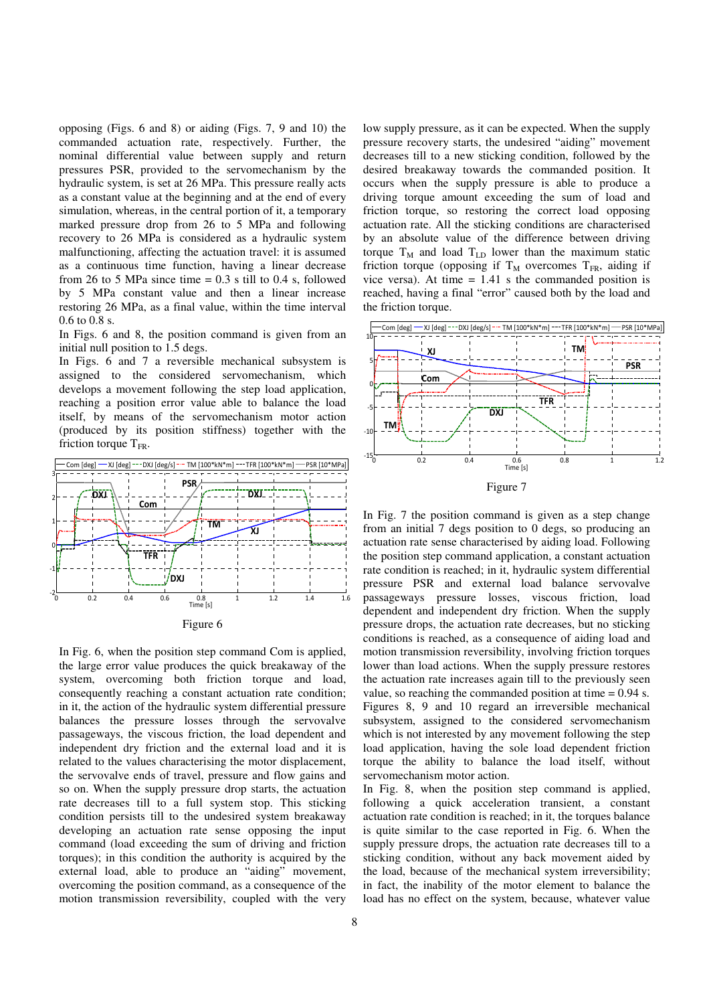opposing (Figs. 6 and 8) or aiding (Figs. 7, 9 and 10) the commanded actuation rate, respectively. Further, the nominal differential value between supply and return pressures PSR, provided to the servomechanism by the hydraulic system, is set at 26 MPa. This pressure really acts as a constant value at the beginning and at the end of every simulation, whereas, in the central portion of it, a temporary marked pressure drop from 26 to 5 MPa and following recovery to 26 MPa is considered as a hydraulic system malfunctioning, affecting the actuation travel: it is assumed as a continuous time function, having a linear decrease from 26 to 5 MPa since time  $= 0.3$  s till to 0.4 s, followed by 5 MPa constant value and then a linear increase restoring 26 MPa, as a final value, within the time interval 0.6 to 0.8 s.

In Figs. 6 and 8, the position command is given from an initial null position to 1.5 degs.

In Figs. 6 and 7 a reversible mechanical subsystem is assigned to the considered servomechanism, which develops a movement following the step load application, reaching a position error value able to balance the load itself, by means of the servomechanism motor action (produced by its position stiffness) together with the friction torque  $T_{FR}$ .



|--|--|

In Fig. 6, when the position step command Com is applied, the large error value produces the quick breakaway of the system, overcoming both friction torque and load, consequently reaching a constant actuation rate condition; in it, the action of the hydraulic system differential pressure balances the pressure losses through the servovalve passageways, the viscous friction, the load dependent and independent dry friction and the external load and it is related to the values characterising the motor displacement, the servovalve ends of travel, pressure and flow gains and so on. When the supply pressure drop starts, the actuation rate decreases till to a full system stop. This sticking condition persists till to the undesired system breakaway developing an actuation rate sense opposing the input command (load exceeding the sum of driving and friction torques); in this condition the authority is acquired by the external load, able to produce an "aiding" movement, overcoming the position command, as a consequence of the motion transmission reversibility, coupled with the very

low supply pressure, as it can be expected. When the supply pressure recovery starts, the undesired "aiding" movement decreases till to a new sticking condition, followed by the desired breakaway towards the commanded position. It occurs when the supply pressure is able to produce a driving torque amount exceeding the sum of load and friction torque, so restoring the correct load opposing actuation rate. All the sticking conditions are characterised by an absolute value of the difference between driving torque  $T_M$  and load  $T_{LD}$  lower than the maximum static friction torque (opposing if  $T_M$  overcomes  $T_{FR}$ , aiding if vice versa). At time  $= 1.41$  s the commanded position is reached, having a final "error" caused both by the load and the friction torque.



In Fig. 7 the position command is given as a step change from an initial 7 degs position to 0 degs, so producing an actuation rate sense characterised by aiding load. Following the position step command application, a constant actuation rate condition is reached; in it, hydraulic system differential pressure PSR and external load balance servovalve passageways pressure losses, viscous friction, load dependent and independent dry friction. When the supply pressure drops, the actuation rate decreases, but no sticking conditions is reached, as a consequence of aiding load and motion transmission reversibility, involving friction torques lower than load actions. When the supply pressure restores the actuation rate increases again till to the previously seen value, so reaching the commanded position at time = 0.94 s. Figures 8, 9 and 10 regard an irreversible mechanical subsystem, assigned to the considered servomechanism which is not interested by any movement following the step load application, having the sole load dependent friction torque the ability to balance the load itself, without servomechanism motor action.

In Fig. 8, when the position step command is applied, following a quick acceleration transient, a constant actuation rate condition is reached; in it, the torques balance is quite similar to the case reported in Fig. 6. When the supply pressure drops, the actuation rate decreases till to a sticking condition, without any back movement aided by the load, because of the mechanical system irreversibility; in fact, the inability of the motor element to balance the load has no effect on the system, because, whatever value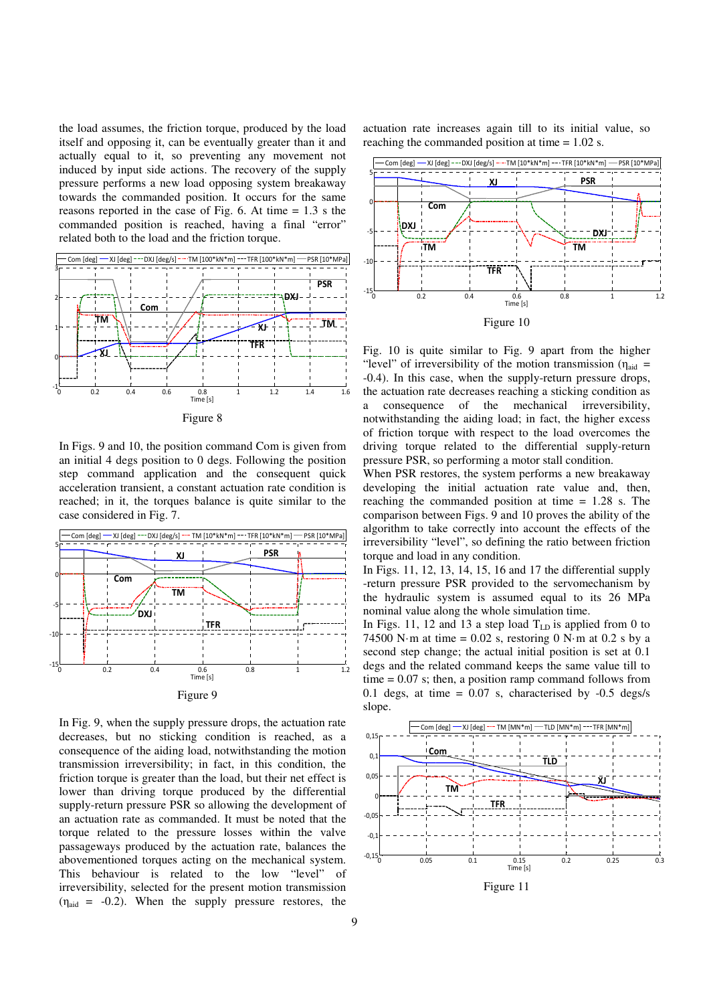the load assumes, the friction torque, produced by the load itself and opposing it, can be eventually greater than it and actually equal to it, so preventing any movement not induced by input side actions. The recovery of the supply pressure performs a new load opposing system breakaway towards the commanded position. It occurs for the same reasons reported in the case of Fig. 6. At time  $= 1.3$  s the commanded position is reached, having a final "error" related both to the load and the friction torque.



Figure 8

In Figs. 9 and 10, the position command Com is given from an initial 4 degs position to 0 degs. Following the position step command application and the consequent quick acceleration transient, a constant actuation rate condition is reached; in it, the torques balance is quite similar to the case considered in Fig. 7.



In Fig. 9, when the supply pressure drops, the actuation rate decreases, but no sticking condition is reached, as a consequence of the aiding load, notwithstanding the motion transmission irreversibility; in fact, in this condition, the friction torque is greater than the load, but their net effect is lower than driving torque produced by the differential supply-return pressure PSR so allowing the development of an actuation rate as commanded. It must be noted that the torque related to the pressure losses within the valve passageways produced by the actuation rate, balances the abovementioned torques acting on the mechanical system. This behaviour is related to the low "level" of irreversibility, selected for the present motion transmission  $(\eta_{\text{aid}} = -0.2)$ . When the supply pressure restores, the

actuation rate increases again till to its initial value, so reaching the commanded position at time = 1.02 s.



Fig. 10 is quite similar to Fig. 9 apart from the higher "level" of irreversibility of the motion transmission ( $\eta_{\text{aid}}$  = -0.4). In this case, when the supply-return pressure drops, the actuation rate decreases reaching a sticking condition as a consequence of the mechanical irreversibility, notwithstanding the aiding load; in fact, the higher excess of friction torque with respect to the load overcomes the driving torque related to the differential supply-return pressure PSR, so performing a motor stall condition.

When PSR restores, the system performs a new breakaway developing the initial actuation rate value and, then, reaching the commanded position at time = 1.28 s. The comparison between Figs. 9 and 10 proves the ability of the algorithm to take correctly into account the effects of the irreversibility "level", so defining the ratio between friction torque and load in any condition.

In Figs. 11, 12, 13, 14, 15, 16 and 17 the differential supply -return pressure PSR provided to the servomechanism by the hydraulic system is assumed equal to its 26 MPa nominal value along the whole simulation time.

In Figs. 11, 12 and 13 a step load  $T_{LD}$  is applied from 0 to 74500 N·m at time =  $0.02$  s, restoring 0 N·m at 0.2 s by a second step change; the actual initial position is set at 0.1 degs and the related command keeps the same value till to time  $= 0.07$  s; then, a position ramp command follows from 0.1 degs, at time  $= 0.07$  s, characterised by  $-0.5$  degs/s slope.

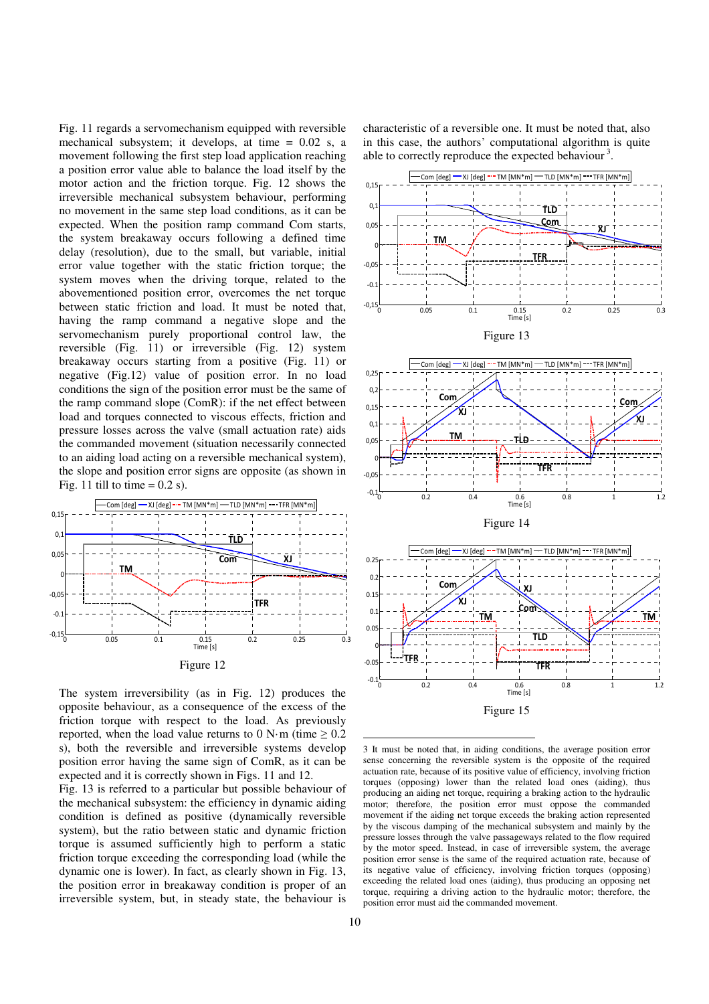Fig. 11 regards a servomechanism equipped with reversible mechanical subsystem; it develops, at time = 0.02 s, a movement following the first step load application reaching a position error value able to balance the load itself by the motor action and the friction torque. Fig. 12 shows the irreversible mechanical subsystem behaviour, performing no movement in the same step load conditions, as it can be expected. When the position ramp command Com starts, the system breakaway occurs following a defined time delay (resolution), due to the small, but variable, initial error value together with the static friction torque; the system moves when the driving torque, related to the abovementioned position error, overcomes the net torque between static friction and load. It must be noted that, having the ramp command a negative slope and the servomechanism purely proportional control law, the reversible (Fig. 11) or irreversible (Fig. 12) system breakaway occurs starting from a positive (Fig. 11) or negative (Fig.12) value of position error. In no load conditions the sign of the position error must be the same of the ramp command slope (ComR): if the net effect between load and torques connected to viscous effects, friction and pressure losses across the valve (small actuation rate) aids the commanded movement (situation necessarily connected to an aiding load acting on a reversible mechanical system), the slope and position error signs are opposite (as shown in Fig. 11 till to time  $= 0.2$  s).



The system irreversibility (as in Fig. 12) produces the opposite behaviour, as a consequence of the excess of the friction torque with respect to the load. As previously reported, when the load value returns to 0 N·m (time  $\geq 0.2$ ) s), both the reversible and irreversible systems develop position error having the same sign of ComR, as it can be expected and it is correctly shown in Figs. 11 and 12.

Fig. 13 is referred to a particular but possible behaviour of the mechanical subsystem: the efficiency in dynamic aiding condition is defined as positive (dynamically reversible system), but the ratio between static and dynamic friction torque is assumed sufficiently high to perform a static friction torque exceeding the corresponding load (while the dynamic one is lower). In fact, as clearly shown in Fig. 13, the position error in breakaway condition is proper of an irreversible system, but, in steady state, the behaviour is characteristic of a reversible one. It must be noted that, also in this case, the authors' computational algorithm is quite able to correctly reproduce the expected behaviour<sup>3</sup>.



3 It must be noted that, in aiding conditions, the average position error sense concerning the reversible system is the opposite of the required actuation rate, because of its positive value of efficiency, involving friction torques (opposing) lower than the related load ones (aiding), thus producing an aiding net torque, requiring a braking action to the hydraulic motor; therefore, the position error must oppose the commanded movement if the aiding net torque exceeds the braking action represented by the viscous damping of the mechanical subsystem and mainly by the pressure losses through the valve passageways related to the flow required by the motor speed. Instead, in case of irreversible system, the average position error sense is the same of the required actuation rate, because of its negative value of efficiency, involving friction torques (opposing) exceeding the related load ones (aiding), thus producing an opposing net torque, requiring a driving action to the hydraulic motor; therefore, the position error must aid the commanded movement.

-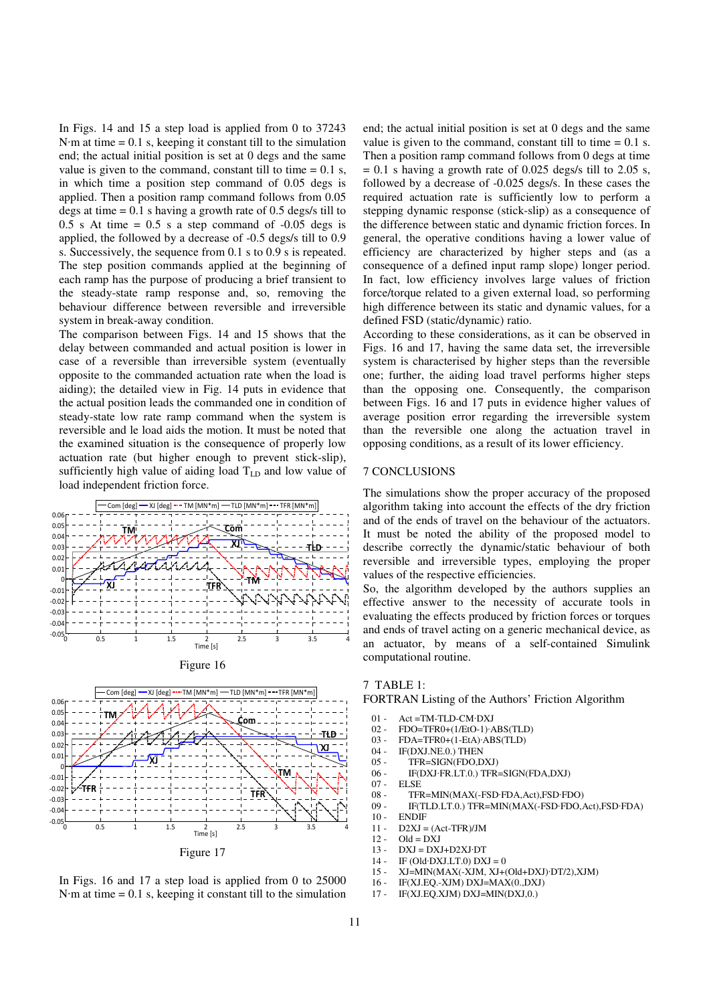In Figs. 14 and 15 a step load is applied from 0 to 37243  $N·m$  at time = 0.1 s, keeping it constant till to the simulation end; the actual initial position is set at 0 degs and the same value is given to the command, constant till to time  $= 0.1$  s, in which time a position step command of 0.05 degs is applied. Then a position ramp command follows from 0.05 degs at time  $= 0.1$  s having a growth rate of 0.5 degs/s till to  $0.5$  s At time =  $0.5$  s a step command of  $-0.05$  degs is applied, the followed by a decrease of -0.5 degs/s till to 0.9 s. Successively, the sequence from 0.1 s to 0.9 s is repeated. The step position commands applied at the beginning of each ramp has the purpose of producing a brief transient to the steady-state ramp response and, so, removing the behaviour difference between reversible and irreversible system in break-away condition.

The comparison between Figs. 14 and 15 shows that the delay between commanded and actual position is lower in case of a reversible than irreversible system (eventually opposite to the commanded actuation rate when the load is aiding); the detailed view in Fig. 14 puts in evidence that the actual position leads the commanded one in condition of steady-state low rate ramp command when the system is reversible and le load aids the motion. It must be noted that the examined situation is the consequence of properly low actuation rate (but higher enough to prevent stick-slip), sufficiently high value of aiding load  $T_{LD}$  and low value of load independent friction force.









end; the actual initial position is set at 0 degs and the same value is given to the command, constant till to time  $= 0.1$  s. Then a position ramp command follows from 0 degs at time  $= 0.1$  s having a growth rate of 0.025 degs/s till to 2.05 s, followed by a decrease of -0.025 degs/s. In these cases the required actuation rate is sufficiently low to perform a stepping dynamic response (stick-slip) as a consequence of the difference between static and dynamic friction forces. In general, the operative conditions having a lower value of efficiency are characterized by higher steps and (as a consequence of a defined input ramp slope) longer period. In fact, low efficiency involves large values of friction force/torque related to a given external load, so performing high difference between its static and dynamic values, for a defined FSD (static/dynamic) ratio.

According to these considerations, as it can be observed in Figs. 16 and 17, having the same data set, the irreversible system is characterised by higher steps than the reversible one; further, the aiding load travel performs higher steps than the opposing one. Consequently, the comparison between Figs. 16 and 17 puts in evidence higher values of average position error regarding the irreversible system than the reversible one along the actuation travel in opposing conditions, as a result of its lower efficiency.

#### 7 CONCLUSIONS

The simulations show the proper accuracy of the proposed algorithm taking into account the effects of the dry friction and of the ends of travel on the behaviour of the actuators. It must be noted the ability of the proposed model to describe correctly the dynamic/static behaviour of both reversible and irreversible types, employing the proper values of the respective efficiencies.

So, the algorithm developed by the authors supplies an effective answer to the necessity of accurate tools in evaluating the effects produced by friction forces or torques and ends of travel acting on a generic mechanical device, as an actuator, by means of a self-contained Simulink computational routine.

#### 7 TABLE 1:

FORTRAN Listing of the Authors' Friction Algorithm

- 01 Act =TM-TLD-CM·DXJ
- 
- $02$   $FDO=TFR0+(1/EtO-1)$ · $ABS(TLD)$ <br> $03$   $FDA=TFR0+(1-FtA)$ · $ARS(TID)$ FDA=TFR0+(1-EtA)·ABS(TLD)
- 
- 04 IF(DXJ.NE.0.) THEN<br>05 TFR=SIGN(FDO D TFR=SIGN(FDO,DXJ)
- 06 IF(DXJ·FR.LT.0.) TFR=SIGN(FDA,DXJ)
- 07 ELSE
- 08 TFR=MIN(MAX(-FSD·FDA,Act),FSD·FDO)<br>09 IF(TLD.LT.0.) TFR=MIN(MAX(-FSD·FDO.
	- 09 IF(TLD.LT.0.) TFR=MIN(MAX(-FSD·FDO,Act),FSD·FDA) 10 ENDIF
	- **ENDIF**
	- 11  $D2XJ = (Act-TFR)/JM$ <br>12  $Old = DXJ$
	- $Old = DXJ$
	- 13  $DXJ = DXJ + D2XJ \cdot DT$ <br>14 IF (Old DXI LT 0) DX
	- $IF (Old-DXJ.LT.0) DXI = 0$
	- 15 XJ=MIN(MAX(-XJM, XJ+(Old+DXJ)·DT/2),XJM)
	- 16 IF(XJ.EQ.-XJM) DXJ=MAX(0.,DXJ)<br>17 IF(XJ.EQ.XIM) DXJ=MIN(DXJ.0)
	- $IF(XJ.EQ.XJM)$   $DXJ=MIN(DXJ,0.)$